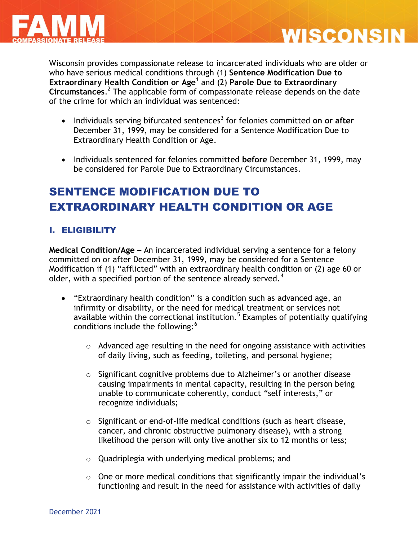



Wisconsin provides compassionate release to incarcerated individuals who are older or who have serious medical conditions through (1) **Sentence Modification Due to Extraordinary Health Condition or Age**<sup>1</sup> and (2) **Parole Due to Extraordinary Circumstances**. 2 The applicable form of compassionate release depends on the date of the crime for which an individual was sentenced:

- **•** Individuals serving bifurcated sentences<sup>3</sup> for felonies committed on or after December 31, 1999, may be considered for a Sentence Modification Due to Extraordinary Health Condition or Age.
- Individuals sentenced for felonies committed **before** December 31, 1999, may be considered for Parole Due to Extraordinary Circumstances.

# SENTENCE MODIFICATION DUE TO EXTRAORDINARY HEALTH CONDITION OR AGE

### I. ELIGIBILITY

**Medical Condition/Age** – An incarcerated individual serving a sentence for a felony committed on or after December 31, 1999, may be considered for a Sentence Modification if (1) "afflicted" with an extraordinary health condition or (2) age 60 or older, with a specified portion of the sentence already served.<sup>4</sup>

- "Extraordinary health condition" is a condition such as advanced age, an infirmity or disability, or the need for medical treatment or services not available within the correctional institution.<sup>5</sup> Examples of potentially qualifying conditions include the following:<sup>6</sup>
	- $\circ$  Advanced age resulting in the need for ongoing assistance with activities of daily living, such as feeding, toileting, and personal hygiene;
	- o Significant cognitive problems due to Alzheimer's or another disease causing impairments in mental capacity, resulting in the person being unable to communicate coherently, conduct "self interests," or recognize individuals;
	- o Significant or end-of-life medical conditions (such as heart disease, cancer, and chronic obstructive pulmonary disease), with a strong likelihood the person will only live another six to 12 months or less;
	- o Quadriplegia with underlying medical problems; and
	- o One or more medical conditions that significantly impair the individual's functioning and result in the need for assistance with activities of daily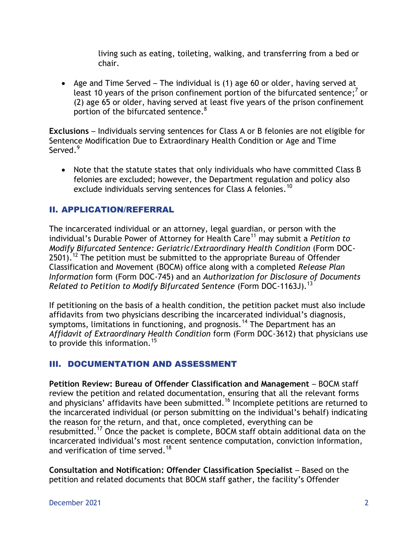living such as eating, toileting, walking, and transferring from a bed or chair.

 Age and Time Served – The individual is (1) age 60 or older, having served at least 10 years of the prison confinement portion of the bifurcated sentence;<sup>7</sup> or (2) age 65 or older, having served at least five years of the prison confinement portion of the bifurcated sentence.<sup>8</sup>

**Exclusions** – Individuals serving sentences for Class A or B felonies are not eligible for Sentence Modification Due to Extraordinary Health Condition or Age and Time Served.<sup>9</sup>

 Note that the statute states that only individuals who have committed Class B felonies are excluded; however, the Department regulation and policy also exclude individuals serving sentences for Class A felonies.<sup>10</sup>

### II. APPLICATION/REFERRAL

The incarcerated individual or an attorney, legal guardian, or person with the individual's Durable Power of Attorney for Health Care<sup>11</sup> may submit a *Petition to Modify Bifurcated Sentence: Geriatric/Extraordinary Health Condition* (Form DOC- $2501$ ). <sup>12</sup> The petition must be submitted to the appropriate Bureau of Offender Classification and Movement (BOCM) office along with a completed *Release Plan Information* form (Form DOC-745) and an *Authorization for Disclosure of Documents Related to Petition to Modify Bifurcated Sentence* (Form DOC-1163J).<sup>13</sup>

If petitioning on the basis of a health condition, the petition packet must also include affidavits from two physicians describing the incarcerated individual's diagnosis, symptoms, limitations in functioning, and prognosis.<sup>14</sup> The Department has an *Affidavit of Extraordinary Health Condition* form (Form DOC-3612) that physicians use to provide this information.<sup>15</sup>

### III. DOCUMENTATION AND ASSESSMENT

**Petition Review: Bureau of Offender Classification and Management** – BOCM staff review the petition and related documentation, ensuring that all the relevant forms and physicians' affidavits have been submitted.<sup>16</sup> Incomplete petitions are returned to the incarcerated individual (or person submitting on the individual's behalf) indicating the reason for the return, and that, once completed, everything can be resubmitted.<sup>17</sup> Once the packet is complete, BOCM staff obtain additional data on the incarcerated individual's most recent sentence computation, conviction information, and verification of time served.<sup>18</sup>

**Consultation and Notification: Offender Classification Specialist** – Based on the petition and related documents that BOCM staff gather, the facility's Offender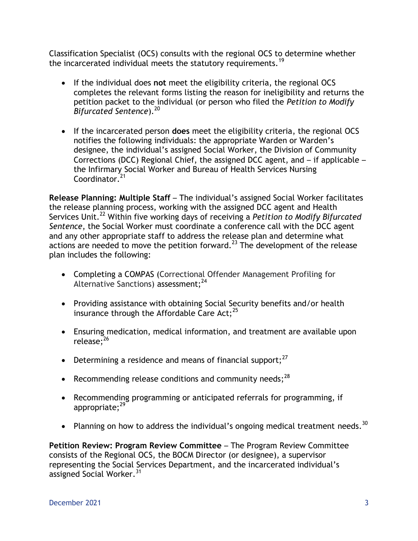Classification Specialist (OCS) consults with the regional OCS to determine whether the incarcerated individual meets the statutory requirements.<sup>19</sup>

- If the individual does **not** meet the eligibility criteria, the regional OCS completes the relevant forms listing the reason for ineligibility and returns the petition packet to the individual (or person who filed the *Petition to Modify Bifurcated Sentence*). 20
- If the incarcerated person **does** meet the eligibility criteria, the regional OCS notifies the following individuals: the appropriate Warden or Warden's designee, the individual's assigned Social Worker, the Division of Community Corrections (DCC) Regional Chief, the assigned DCC agent, and – if applicable – the Infirmary Social Worker and Bureau of Health Services Nursing Coordinator<sup>21</sup>

**Release Planning: Multiple Staff** – The individual's assigned Social Worker facilitates the release planning process, working with the assigned DCC agent and Health Services Unit.<sup>22</sup> Within five working days of receiving a *Petition to Modify Bifurcated Sentence*, the Social Worker must coordinate a conference call with the DCC agent and any other appropriate staff to address the release plan and determine what actions are needed to move the petition forward.<sup>23</sup> The development of the release plan includes the following:

- Completing a COMPAS (Correctional Offender Management Profiling for Alternative Sanctions) assessment:<sup>24</sup>
- Providing assistance with obtaining Social Security benefits and/or health insurance through the Affordable Care Act; $^{25}$
- Ensuring medication, medical information, and treatment are available upon release;<sup>26</sup>
- **•** Determining a residence and means of financial support;<sup>27</sup>
- **•** Recommending release conditions and community needs;  $^{28}$
- Recommending programming or anticipated referrals for programming, if appropriate; $29$
- Planning on how to address the individual's ongoing medical treatment needs.<sup>30</sup>

**Petition Review: Program Review Committee** – The Program Review Committee consists of the Regional OCS, the BOCM Director (or designee), a supervisor representing the Social Services Department, and the incarcerated individual's assigned Social Worker.<sup>31</sup>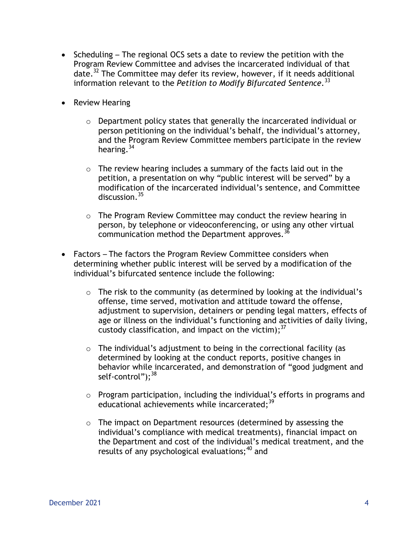- Scheduling The regional OCS sets a date to review the petition with the Program Review Committee and advises the incarcerated individual of that date. <sup>32</sup> The Committee may defer its review, however, if it needs additional information relevant to the *Petition to Modify Bifurcated Sentence.* 33
- Review Hearing
	- $\circ$  Department policy states that generally the incarcerated individual or person petitioning on the individual's behalf, the individual's attorney, and the Program Review Committee members participate in the review hearing.<sup>34</sup>
	- $\circ$  The review hearing includes a summary of the facts laid out in the petition, a presentation on why "public interest will be served" by a modification of the incarcerated individual's sentence, and Committee discussion.<sup>35</sup>
	- o The Program Review Committee may conduct the review hearing in person, by telephone or videoconferencing, or using any other virtual communication method the Department approves.<sup>36</sup>
- Factors The factors the Program Review Committee considers when determining whether public interest will be served by a modification of the individual's bifurcated sentence include the following:
	- $\circ$  The risk to the community (as determined by looking at the individual's offense, time served, motivation and attitude toward the offense, adjustment to supervision, detainers or pending legal matters, effects of age or illness on the individual's functioning and activities of daily living, custody classification, and impact on the victim); $^{37}$
	- $\circ$  The individual's adjustment to being in the correctional facility (as determined by looking at the conduct reports, positive changes in behavior while incarcerated, and demonstration of "good judgment and self-control");<sup>38</sup>
	- o Program participation, including the individual's efforts in programs and educational achievements while incarcerated:<sup>39</sup>
	- o The impact on Department resources (determined by assessing the individual's compliance with medical treatments), financial impact on the Department and cost of the individual's medical treatment, and the results of any psychological evaluations:<sup>40</sup> and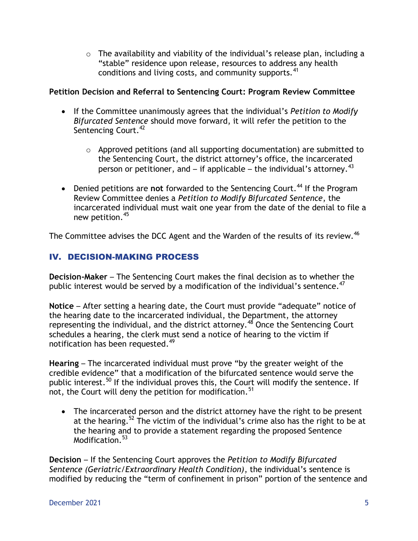$\circ$  The availability and viability of the individual's release plan, including a "stable" residence upon release, resources to address any health conditions and living costs, and community supports.<sup>41</sup>

### **Petition Decision and Referral to Sentencing Court: Program Review Committee**

- If the Committee unanimously agrees that the individual's *Petition to Modify Bifurcated Sentence* should move forward, it will refer the petition to the Sentencing Court.<sup>42</sup>
	- o Approved petitions (and all supporting documentation) are submitted to the Sentencing Court, the district attorney's office, the incarcerated person or petitioner, and – if applicable – the individual's attornev.<sup>43</sup>
- Denied petitions are not forwarded to the Sentencing Court.<sup>44</sup> If the Program Review Committee denies a *Petition to Modify Bifurcated Sentence*, the incarcerated individual must wait one year from the date of the denial to file a new petition.<sup>45</sup>

The Committee advises the DCC Agent and the Warden of the results of its review.<sup>46</sup>

### IV. DECISION-MAKING PROCESS

**Decision-Maker** – The Sentencing Court makes the final decision as to whether the public interest would be served by a modification of the individual's sentence.<sup>47</sup>

**Notice** – After setting a hearing date, the Court must provide "adequate" notice of the hearing date to the incarcerated individual, the Department, the attorney representing the individual, and the district attorney.<sup>48</sup> Once the Sentencing Court schedules a hearing, the clerk must send a notice of hearing to the victim if notification has been requested. 49

**Hearing** – The incarcerated individual must prove "by the greater weight of the credible evidence" that a modification of the bifurcated sentence would serve the public interest.<sup>50</sup> If the individual proves this, the Court will modify the sentence. If not, the Court will deny the petition for modification.<sup>51</sup>

• The incarcerated person and the district attorney have the right to be present at the hearing.<sup>52</sup> The victim of the individual's crime also has the right to be at the hearing and to provide a statement regarding the proposed Sentence Modification.<sup>53</sup>

**Decision** – If the Sentencing Court approves the *Petition to Modify Bifurcated Sentence (Geriatric/Extraordinary Health Condition)*, the individual's sentence is modified by reducing the "term of confinement in prison" portion of the sentence and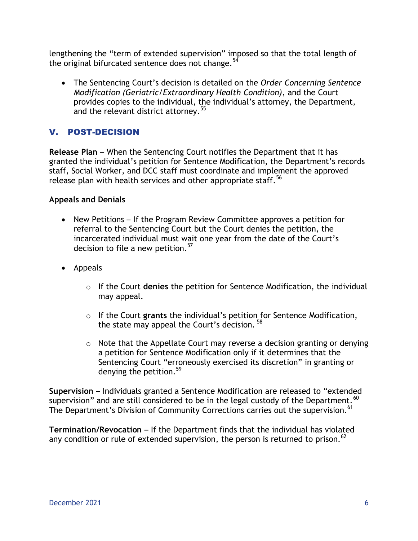lengthening the "term of extended supervision" imposed so that the total length of the original bifurcated sentence does not change.  $54$ 

 The Sentencing Court's decision is detailed on the *Order Concerning Sentence Modification (Geriatric/Extraordinary Health Condition)*, and the Court provides copies to the individual, the individual's attorney, the Department, and the relevant district attorney.<sup>55</sup>

## V. POST-DECISION

**Release Plan** – When the Sentencing Court notifies the Department that it has granted the individual's petition for Sentence Modification, the Department's records staff, Social Worker, and DCC staff must coordinate and implement the approved release plan with health services and other appropriate staff.<sup>56</sup>

#### **Appeals and Denials**

- New Petitions If the Program Review Committee approves a petition for referral to the Sentencing Court but the Court denies the petition, the incarcerated individual must wait one year from the date of the Court's decision to file a new petition.<sup>57</sup>
- Appeals
	- o If the Court **denies** the petition for Sentence Modification, the individual may appeal.
	- o If the Court **grants** the individual's petition for Sentence Modification, the state may appeal the Court's decision. <sup>58</sup>
	- $\circ$  Note that the Appellate Court may reverse a decision granting or denying a petition for Sentence Modification only if it determines that the Sentencing Court "erroneously exercised its discretion" in granting or denying the petition.<sup>59</sup>

**Supervision** – Individuals granted a Sentence Modification are released to "extended supervision" and are still considered to be in the legal custody of the Department.  $^{60}$ The Department's Division of Community Corrections carries out the supervision. <sup>61</sup>

**Termination/Revocation** – If the Department finds that the individual has violated any condition or rule of extended supervision, the person is returned to prison.<sup>62</sup>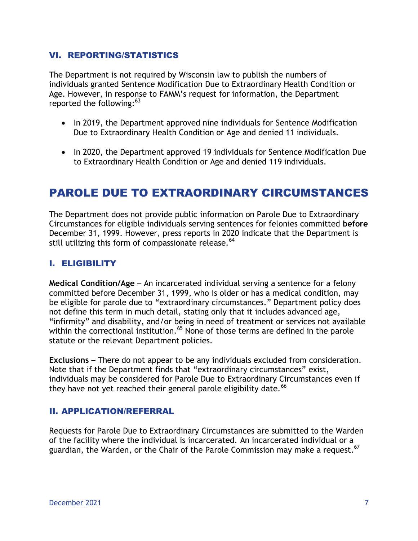#### VI. REPORTING/STATISTICS

The Department is not required by Wisconsin law to publish the numbers of individuals granted Sentence Modification Due to Extraordinary Health Condition or Age. However, in response to FAMM's request for information, the Department reported the following:<sup>63</sup>

- In 2019, the Department approved nine individuals for Sentence Modification Due to Extraordinary Health Condition or Age and denied 11 individuals.
- In 2020, the Department approved 19 individuals for Sentence Modification Due to Extraordinary Health Condition or Age and denied 119 individuals.

## PAROLE DUE TO EXTRAORDINARY CIRCUMSTANCES

The Department does not provide public information on Parole Due to Extraordinary Circumstances for eligible individuals serving sentences for felonies committed **before**  December 31, 1999. However, press reports in 2020 indicate that the Department is still utilizing this form of compassionate release.<sup>64</sup>

### I. ELIGIBILITY

**Medical Condition/Age** – An incarcerated individual serving a sentence for a felony committed before December 31, 1999, who is older or has a medical condition, may be eligible for parole due to "extraordinary circumstances." Department policy does not define this term in much detail, stating only that it includes advanced age, "infirmity" and disability, and/or being in need of treatment or services not available within the correctional institution.<sup>65</sup> None of those terms are defined in the parole statute or the relevant Department policies.

**Exclusions** – There do not appear to be any individuals excluded from consideration. Note that if the Department finds that "extraordinary circumstances" exist, individuals may be considered for Parole Due to Extraordinary Circumstances even if they have not yet reached their general parole eligibility date.  $^{66}$ 

#### II. APPLICATION/REFERRAL

Requests for Parole Due to Extraordinary Circumstances are submitted to the Warden of the facility where the individual is incarcerated. An incarcerated individual or a guardian, the Warden, or the Chair of the Parole Commission may make a request.  $^{67}$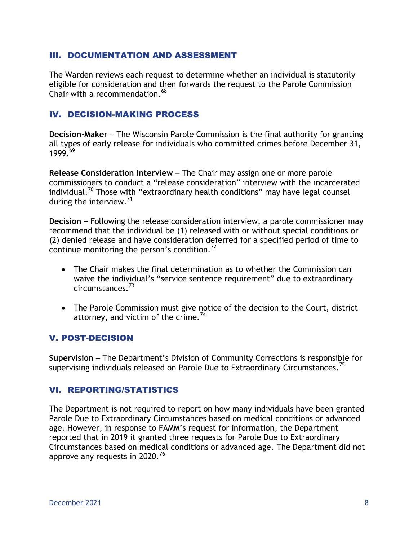#### III. DOCUMENTATION AND ASSESSMENT

The Warden reviews each request to determine whether an individual is statutorily eligible for consideration and then forwards the request to the Parole Commission Chair with a recommendation.<sup>68</sup>

#### IV. DECISION-MAKING PROCESS

**Decision-Maker** – The Wisconsin Parole Commission is the final authority for granting all types of early release for individuals who committed crimes before December 31,  $1999.<sup>69</sup>$ 

**Release Consideration Interview** – The Chair may assign one or more parole commissioners to conduct a "release consideration" interview with the incarcerated individual.<sup>70</sup> Those with "extraordinary health conditions" may have legal counsel during the interview.<sup>71</sup>

**Decision** – Following the release consideration interview, a parole commissioner may recommend that the individual be (1) released with or without special conditions or (2) denied release and have consideration deferred for a specified period of time to continue monitoring the person's condition.<sup>72</sup>

- The Chair makes the final determination as to whether the Commission can waive the individual's "service sentence requirement" due to extraordinary circumstances.<sup>73</sup>
- The Parole Commission must give notice of the decision to the Court, district attorney, and victim of the crime.<sup>74</sup>

### V. POST-DECISION

**Supervision** – The Department's Division of Community Corrections is responsible for supervising individuals released on Parole Due to Extraordinary Circumstances.<sup>75</sup>

#### VI. REPORTING/STATISTICS

The Department is not required to report on how many individuals have been granted Parole Due to Extraordinary Circumstances based on medical conditions or advanced age. However, in response to FAMM's request for information, the Department reported that in 2019 it granted three requests for Parole Due to Extraordinary Circumstances based on medical conditions or advanced age. The Department did not approve any requests in 2020.<sup>76</sup>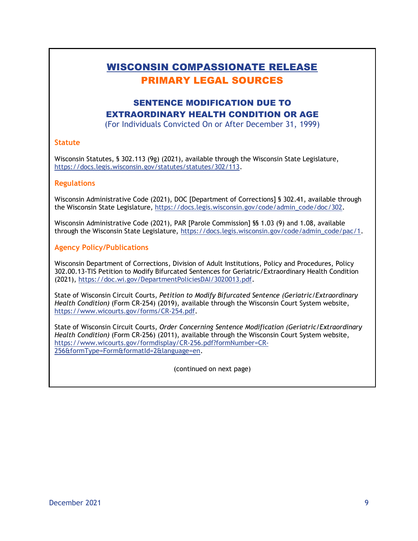## WISCONSIN COMPASSIONATE RELEASE PRIMARY LEGAL SOURCES

## SENTENCE MODIFICATION DUE TO EXTRAORDINARY HEALTH CONDITION OR AGE

(For Individuals Convicted On or After December 31, 1999)

#### **Statute**

Wisconsin Statutes, § 302.113 (9g) (2021), available through the Wisconsin State Legislature, [https://docs.legis.wisconsin.gov/statutes/statutes/302/113.](https://docs.legis.wisconsin.gov/statutes/statutes/302/113)

#### **Regulations**

Wisconsin Administrative Code (2021), DOC [Department of Corrections] § 302.41, available through the Wisconsin State Legislature, [https://docs.legis.wisconsin.gov/code/admin\\_code/doc/302.](https://docs.legis.wisconsin.gov/code/admin_code/doc/302)

Wisconsin Administrative Code (2021), PAR [Parole Commission] §§ 1.03 (9) and 1.08, available through the Wisconsin State Legislature, [https://docs.legis.wisconsin.gov/code/admin\\_code/pac/1.](https://docs.legis.wisconsin.gov/code/admin_code/pac/1)

#### **Agency Policy/Publications**

Wisconsin Department of Corrections, Division of Adult Institutions, Policy and Procedures, Policy 302.00.13-TIS Petition to Modify Bifurcated Sentences for Geriatric/Extraordinary Health Condition (2021), [https://doc.wi.gov/DepartmentPoliciesDAI/3020013.pdf.](https://doc.wi.gov/DepartmentPoliciesDAI/3020013.pdf)

State of Wisconsin Circuit Courts, *Petition to Modify Bifurcated Sentence (Geriatric/Extraordinary Health Condition)* (Form CR-254) (2019), available through the Wisconsin Court System website, [https://www.wicourts.gov/forms/CR-254.pdf.](https://www.wicourts.gov/forms/CR-254.pdf)

State of Wisconsin Circuit Courts, *Order Concerning Sentence Modification (Geriatric/Extraordinary Health Condition)* (Form CR-256) (2011), available through the Wisconsin Court System website, [https://www.wicourts.gov/formdisplay/CR-256.pdf?formNumber=CR-](https://www.wicourts.gov/formdisplay/CR-256.pdf?formNumber=CR-256&formType=Form&formatId=2&language=en)[256&formType=Form&formatId=2&language=en.](https://www.wicourts.gov/formdisplay/CR-256.pdf?formNumber=CR-256&formType=Form&formatId=2&language=en)

(continued on next page)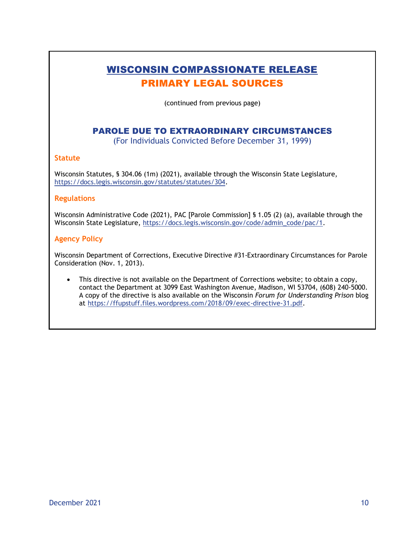## WISCONSIN COMPASSIONATE RELEASE PRIMARY LEGAL SOURCES

(continued from previous page)

#### PAROLE DUE TO EXTRAORDINARY CIRCUMSTANCES

(For Individuals Convicted Before December 31, 1999)

#### **Statute**

Wisconsin Statutes, § 304.06 (1m) (2021), available through the Wisconsin State Legislature, [https://docs.legis.wisconsin.gov/statutes/statutes/304.](https://docs.legis.wisconsin.gov/statutes/statutes/304)

#### **Regulations**

Wisconsin Administrative Code (2021), PAC [Parole Commission] § 1.05 (2) (a), available through the Wisconsin State Legislature, [https://docs.legis.wisconsin.gov/code/admin\\_code/pac/1.](https://docs.legis.wisconsin.gov/code/admin_code/pac/1)

#### **Agency Policy**

Wisconsin Department of Corrections, Executive Directive #31-Extraordinary Circumstances for Parole Consideration (Nov. 1, 2013).

 This directive is not available on the Department of Corrections website; to obtain a copy, contact the Department at 3099 East Washington Avenue, Madison, WI 53704, (608) 240-5000. A copy of the directive is also available on the Wisconsin *Forum for Understanding Prison* blog at [https://ffupstuff.files.wordpress.com/2018/09/exec-directive-31.pdf.](https://ffupstuff.files.wordpress.com/2018/09/exec-directive-31.pdf)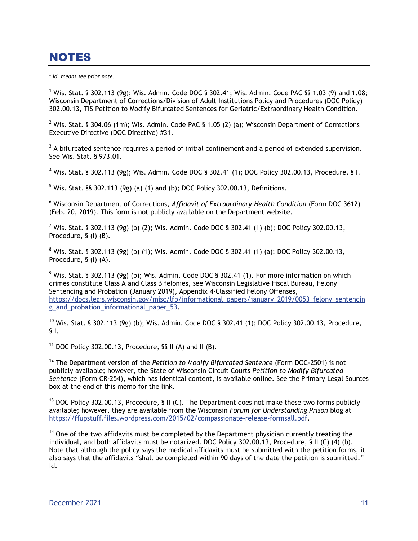## NOTES

\* *Id. means see prior note.*

<sup>1</sup> Wis. Stat. § 302.113 (9g); Wis. Admin. Code DOC § 302.41; Wis. Admin. Code PAC §§ 1.03 (9) and 1.08; Wisconsin Department of Corrections/Division of Adult Institutions Policy and Procedures (DOC Policy) 302.00.13, TIS Petition to Modify Bifurcated Sentences for Geriatric/Extraordinary Health Condition.

<sup>2</sup> Wis. Stat. § 304.06 (1m); Wis. Admin. Code PAC § 1.05 (2) (a); Wisconsin Department of Corrections Executive Directive (DOC Directive) #31.

 $3$  A bifurcated sentence requires a period of initial confinement and a period of extended supervision. See Wis. Stat. § 973.01.

<sup>4</sup> Wis. Stat. § 302.113 (9g); Wis. Admin. Code DOC § 302.41 (1); DOC Policy 302.00.13, Procedure, § I.

 $5$  Wis. Stat. §§ 302.113 (9g) (a) (1) and (b); DOC Policy 302.00.13, Definitions.

<sup>6</sup> Wisconsin Department of Corrections, *Affidavit of Extraordinary Health Condition* (Form DOC 3612) (Feb. 20, 2019). This form is not publicly available on the Department website.

 $^7$  Wis. Stat. § 302.113 (9g) (b) (2); Wis. Admin. Code DOC § 302.41 (1) (b); DOC Policy 302.00.13, Procedure, § (I) (B).

 $8$  Wis. Stat. § 302.113 (9g) (b) (1); Wis. Admin. Code DOC § 302.41 (1) (a); DOC Policy 302.00.13, Procedure, § (I) (A).

 $9$  Wis. Stat. § 302.113 (9g) (b); Wis. Admin. Code DOC § 302.41 (1). For more information on which crimes constitute Class A and Class B felonies, see Wisconsin Legislative Fiscal Bureau, Felony Sentencing and Probation (January 2019), Appendix 4-Classified Felony Offenses, [https://docs.legis.wisconsin.gov/misc/lfb/informational\\_papers/january\\_2019/0053\\_felony\\_sentencin](https://docs.legis.wisconsin.gov/misc/lfb/informational_papers/january_2019/0053_felony_sentencing_and_probation_informational_paper_53) [g\\_and\\_probation\\_informational\\_paper\\_53.](https://docs.legis.wisconsin.gov/misc/lfb/informational_papers/january_2019/0053_felony_sentencing_and_probation_informational_paper_53)

 $10$  Wis. Stat. § 302.113 (9g) (b); Wis. Admin. Code DOC § 302.41 (1); DOC Policy 302.00.13, Procedure, § I.

<sup>11</sup> DOC Policy 302.00.13, Procedure,  $\frac{1}{10}$  (A) and II (B).

<sup>12</sup> The Department version of the *Petition to Modify Bifurcated Sentence* (Form DOC-2501) is not publicly available; however, the State of Wisconsin Circuit Courts *Petition to Modify Bifurcated Sentence* (Form CR-254), which has identical content, is available online. See the Primary Legal Sources box at the end of this memo for the link.

 $13$  DOC Policy 302.00.13, Procedure, § II (C). The Department does not make these two forms publicly available; however, they are available from the Wisconsin *Forum for Understanding Prison* blog at [https://ffupstuff.files.wordpress.com/2015/02/compassionate-release-formsall.pdf.](https://ffupstuff.files.wordpress.com/2015/02/compassionate-release-formsall.pdf)

 $14$  One of the two affidavits must be completed by the Department physician currently treating the individual, and both affidavits must be notarized. DOC Policy 302.00.13, Procedure, § II (C) (4) (b). Note that although the policy says the medical affidavits must be submitted with the petition forms, it also says that the affidavits "shall be completed within 90 days of the date the petition is submitted." Id.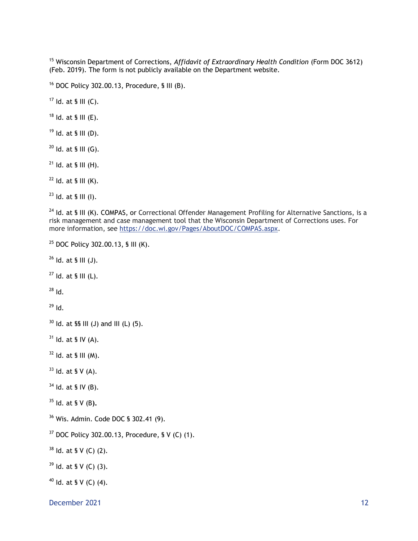<sup>15</sup> Wisconsin Department of Corrections, Affidavit of Extraordinary Health Condition (Form DOC 3612) (Feb. 2019). The form is not publicly available on the Department website.

DOC Policy 302.00.13, Procedure, § III (B).

Id. at § III (C).

Id. at § III (E).

Id. at § III (D).

Id. at § III (G).

Id. at § III (H).

Id. at § III (K).

Id. at § III (I).

<sup>24</sup> Id. at § III (K). COMPAS, or Correctional Offender Management Profiling for Alternative Sanctions, is a risk management and case management tool that the Wisconsin Department of Corrections uses. For more information, see [https://doc.wi.gov/Pages/AboutDOC/COMPAS.aspx.](https://doc.wi.gov/Pages/AboutDOC/COMPAS.aspx)

```
25 DOC Policy 302.00.13, § III (K).
```
Id. at § III (J).

Id. at § III (L).

Id.

Id.

Id. at §§ III (J) and III (L) (5).

Id. at § IV (A).

Id. at § III (M).

Id. at § V (A).

Id. at § IV (B).

Id. at § V (B**).**

Wis. Admin. Code DOC § 302.41 (9).

DOC Policy 302.00.13, Procedure, § V (C) (1).

ld. at § V (C) (2).

Id. at § V (C) (3).

Id. at § V (C) (4).

December 2021 and the state of the state of the state of the state of the state of the state of the state of the state of the state of the state of the state of the state of the state of the state of the state of the state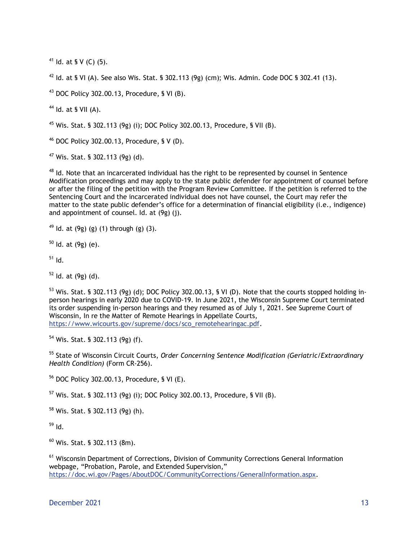<sup>41</sup> Id. at § V (C) (5).

<sup>42</sup> Id. at § VI (A). See also Wis. Stat. § 302.113 (9g) (cm); Wis. Admin. Code DOC § 302.41 (13).

 $43$  DOC Policy 302.00.13, Procedure, § VI (B).

 $44$  Id. at § VII (A).

<sup>45</sup> Wis. Stat. § 302.113 (9g) (i); DOC Policy 302.00.13, Procedure, § VII (B).

 $46$  DOC Policy 302.00.13, Procedure, § V (D).

 $47$  Wis. Stat. § 302.113 (9g) (d).

 $48$  Id. Note that an incarcerated individual has the right to be represented by counsel in Sentence Modification proceedings and may apply to the state public defender for appointment of counsel before or after the filing of the petition with the Program Review Committee. If the petition is referred to the Sentencing Court and the incarcerated individual does not have counsel, the Court may refer the matter to the state public defender's office for a determination of financial eligibility (i.e., indigence) and appointment of counsel. Id. at (9g) (j).

 $49$  Id. at (9g) (g) (1) through (g) (3).

 $50$  Id. at (9g) (e).

 $<sup>51</sup>$  Id.</sup>

 $52$  Id. at (9g) (d).

 $53$  Wis. Stat. § 302.113 (9g) (d); DOC Policy 302.00.13, § VI (D). Note that the courts stopped holding inperson hearings in early 2020 due to COVID-19. In June 2021, the Wisconsin Supreme Court terminated its order suspending in-person hearings and they resumed as of July 1, 2021. See Supreme Court of Wisconsin, In re the Matter of Remote Hearings in Appellate Courts, https://www.wicourts.gov/supreme/docs/sco\_remotehearingac.pdf.

<sup>54</sup> Wis. Stat. § 302.113 (9g) (f).

<sup>55</sup> State of Wisconsin Circuit Courts, *Order Concerning Sentence Modification (Geriatric/Extraordinary Health Condition)* (Form CR-256).

<sup>56</sup> DOC Policy 302.00.13, Procedure, § VI (E).

<sup>57</sup> Wis. Stat. § 302.113 (9g) (i); DOC Policy 302.00.13, Procedure, § VII (B).

<sup>58</sup> Wis. Stat. § 302.113 (9g) (h).

 $59$  Id.

 $60$  Wis. Stat. § 302.113 (8m).

<sup>61</sup> Wisconsin Department of Corrections, Division of Community Corrections General Information webpage, "Probation, Parole, and Extended Supervision," [https://doc.wi.gov/Pages/AboutDOC/CommunityCorrections/GeneralInformation.aspx.](https://doc.wi.gov/Pages/AboutDOC/CommunityCorrections/GeneralInformation.aspx)